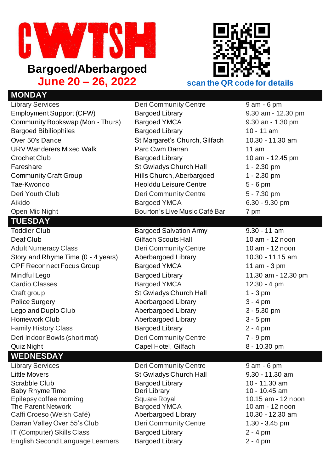

## **Bargoed/Aberbargoed**



| <b>MONDAY</b>                                          |                                                   |                                     |
|--------------------------------------------------------|---------------------------------------------------|-------------------------------------|
| <b>Library Services</b>                                | Deri Community Centre                             | $9$ am $-6$ pm                      |
| <b>Employment Support (CFW)</b>                        | <b>Bargoed Library</b>                            | 9.30 am - 12.30 pm                  |
| Community Bookswap (Mon - Thurs)                       | <b>Bargoed YMCA</b>                               | 9.30 an - 1.30 pm                   |
| <b>Bargoed Bibiliophiles</b>                           | <b>Bargoed Library</b>                            | $10 - 11$ am                        |
| Over 50's Dance                                        | St Margaret's Church, Gilfach                     | 10.30 - 11.30 am                    |
| <b>URV Wanderers Mixed Walk</b>                        | Parc Cwm Darran                                   | 11 am                               |
| Crochet Club                                           | <b>Bargoed Library</b>                            | 10 am - 12.45 pm                    |
| Fareshare                                              | St Gwladys Church Hall                            | 1 - 2.30 pm                         |
| <b>Community Craft Group</b>                           | Hills Church, Aberbargoed                         | $1 - 2.30$ pm                       |
| Tae-Kwondo                                             | <b>Heolddu Leisure Centre</b>                     | $5 - 6$ pm                          |
| Deri Youth Club                                        | <b>Deri Community Centre</b>                      | 5 - 7.30 pm                         |
| Aikido                                                 | <b>Bargoed YMCA</b>                               | 6.30 - 9.30 pm                      |
| Open Mic Night                                         | Bourton's Live Music Café Bar                     | 7 pm                                |
| <b>TUESDAY</b>                                         |                                                   |                                     |
| <b>Toddler Club</b>                                    | <b>Bargoed Salvation Army</b>                     | $9.30 - 11$ am                      |
| Deaf Club                                              | <b>Gilfach Scouts Hall</b>                        | 10 am - 12 noon                     |
| <b>Adult Numeracy Class</b>                            | <b>Deri Community Centre</b>                      | 10 am - 12 noon                     |
| Story and Rhyme Time (0 - 4 years)                     | Aberbargoed Library                               | 10.30 - 11.15 am                    |
| <b>CPF Reconnect Focus Group</b>                       | <b>Bargoed YMCA</b>                               | 11 am - 3 pm                        |
| Mindful Lego                                           | <b>Bargoed Library</b>                            | 11.30 am - 12.30 pm                 |
| <b>Cardio Classes</b>                                  | <b>Bargoed YMCA</b>                               | $12.30 - 4 pm$                      |
| Craft group                                            | St Gwladys Church Hall                            | $1 - 3$ pm                          |
| <b>Police Surgery</b>                                  | <b>Aberbargoed Library</b>                        | $3 - 4$ pm                          |
| Lego and Duplo Club                                    | <b>Aberbargoed Library</b>                        | $3 - 5.30$ pm                       |
| Homework Club                                          | <b>Aberbargoed Library</b>                        | $3 - 5$ pm                          |
| <b>Family History Class</b>                            | <b>Bargoed Library</b>                            | $2 - 4$ pm                          |
| Deri Indoor Bowls (short mat)                          | Deri Community Centre                             | $7 - 9$ pm                          |
| Quiz Night                                             | Capel Hotel, Gilfach                              | 8 - 10.30 pm                        |
| <b>WEDNESDAY</b>                                       |                                                   |                                     |
| <b>Library Services</b>                                | <b>Deri Community Centre</b>                      | $9$ am $-6$ pm                      |
| <b>Little Movers</b>                                   | St Gwladys Church Hall                            | 9.30 - 11.30 am                     |
| <b>Scrabble Club</b>                                   | <b>Bargoed Library</b>                            | 10 - 11.30 am                       |
| <b>Baby Rhyme Time</b>                                 | Deri Library                                      | 10 - 10.45 am                       |
| Epilepsy coffee morning                                | <b>Square Royal</b>                               | 10.15 am - 12 noon                  |
| <b>The Parent Network</b><br>Caffi Croeso (Welsh Café) | <b>Bargoed YMCA</b><br><b>Aberbargoed Library</b> | 10 am - 12 noon<br>10.30 - 12.30 am |
| Darran Valley Over 55's Club                           | <b>Deri Community Centre</b>                      | $1.30 - 3.45$ pm                    |
| IT (Computer) Skills Class                             | <b>Bargoed Library</b>                            | $2 - 4$ pm                          |
| <b>English Second Language Learners</b>                | <b>Bargoed Library</b>                            | $2 - 4$ pm                          |
|                                                        |                                                   |                                     |